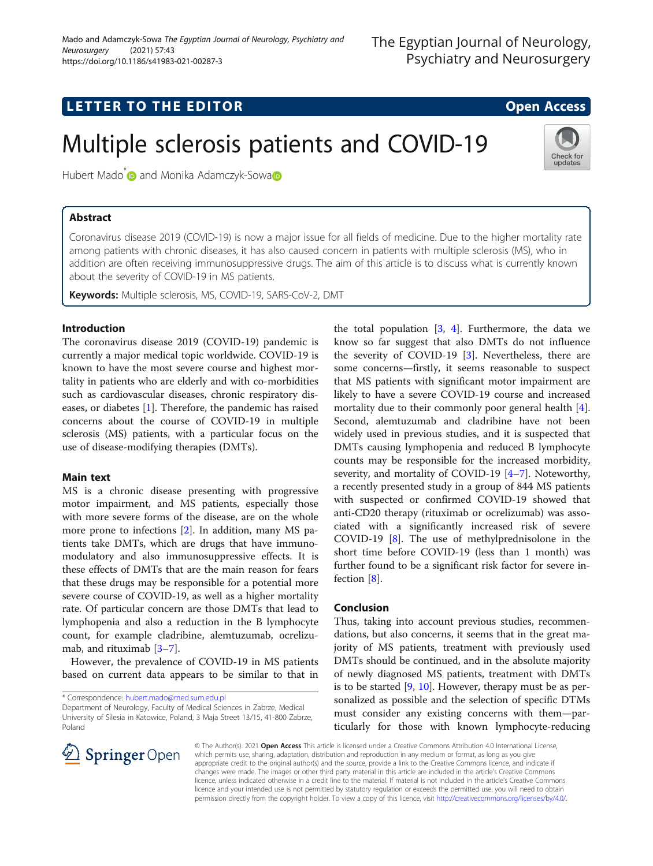# **LETTER TO THE EDITOR CONSTRUCTED ACCESS**

# Multiple sclerosis patients and COVID-19

Hubert M[a](https://orcid.org/0000-0002-6894-9891)do<sup>\*</sup> and Monika Adamczyk-Sowa<sup>n</sup>

## Abstract

Coronavirus disease 2019 (COVID-19) is now a major issue for all fields of medicine. Due to the higher mortality rate among patients with chronic diseases, it has also caused concern in patients with multiple sclerosis (MS), who in addition are often receiving immunosuppressive drugs. The aim of this article is to discuss what is currently known about the severity of COVID-19 in MS patients.

Keywords: Multiple sclerosis, MS, COVID-19, SARS-CoV-2, DMT

### Introduction

The coronavirus disease 2019 (COVID-19) pandemic is currently a major medical topic worldwide. COVID-19 is known to have the most severe course and highest mortality in patients who are elderly and with co-morbidities such as cardiovascular diseases, chronic respiratory diseases, or diabetes [\[1](#page-1-0)]. Therefore, the pandemic has raised concerns about the course of COVID-19 in multiple sclerosis (MS) patients, with a particular focus on the use of disease-modifying therapies (DMTs).

#### Main text

MS is a chronic disease presenting with progressive motor impairment, and MS patients, especially those with more severe forms of the disease, are on the whole more prone to infections [[2\]](#page-1-0). In addition, many MS patients take DMTs, which are drugs that have immunomodulatory and also immunosuppressive effects. It is these effects of DMTs that are the main reason for fears that these drugs may be responsible for a potential more severe course of COVID-19, as well as a higher mortality rate. Of particular concern are those DMTs that lead to lymphopenia and also a reduction in the B lymphocyte count, for example cladribine, alemtuzumab, ocrelizumab, and rituximab [\[3](#page-1-0)–[7](#page-1-0)].

However, the prevalence of COVID-19 in MS patients based on current data appears to be similar to that in

\* Correspondence: [hubert.mado@med.sum.edu.pl](mailto:hubert.mado@med.sum.edu.pl) Department of Neurology, Faculty of Medical Sciences in Zabrze, Medical University of Silesia in Katowice, Poland, 3 Maja Street 13/15, 41-800 Zabrze, Poland

the total population  $[3, 4]$  $[3, 4]$  $[3, 4]$  $[3, 4]$ . Furthermore, the data we know so far suggest that also DMTs do not influence the severity of COVID-19 [\[3](#page-1-0)]. Nevertheless, there are some concerns—firstly, it seems reasonable to suspect that MS patients with significant motor impairment are likely to have a severe COVID-19 course and increased mortality due to their commonly poor general health [\[4](#page-1-0)]. Second, alemtuzumab and cladribine have not been widely used in previous studies, and it is suspected that DMTs causing lymphopenia and reduced B lymphocyte counts may be responsible for the increased morbidity, severity, and mortality of COVID-19 [\[4](#page-1-0)–[7\]](#page-1-0). Noteworthy, a recently presented study in a group of 844 MS patients with suspected or confirmed COVID-19 showed that anti-CD20 therapy (rituximab or ocrelizumab) was associated with a significantly increased risk of severe COVID-19 [[8\]](#page-1-0). The use of methylprednisolone in the short time before COVID-19 (less than 1 month) was further found to be a significant risk factor for severe infection [[8\]](#page-1-0).

#### Conclusion

Thus, taking into account previous studies, recommendations, but also concerns, it seems that in the great majority of MS patients, treatment with previously used DMTs should be continued, and in the absolute majority of newly diagnosed MS patients, treatment with DMTs is to be started [[9](#page-1-0), [10](#page-1-0)]. However, therapy must be as personalized as possible and the selection of specific DTMs must consider any existing concerns with them—particularly for those with known lymphocyte-reducing



© The Author(s). 2021 Open Access This article is licensed under a Creative Commons Attribution 4.0 International License, which permits use, sharing, adaptation, distribution and reproduction in any medium or format, as long as you give appropriate credit to the original author(s) and the source, provide a link to the Creative Commons licence, and indicate if changes were made. The images or other third party material in this article are included in the article's Creative Commons licence, unless indicated otherwise in a credit line to the material. If material is not included in the article's Creative Commons licence and your intended use is not permitted by statutory regulation or exceeds the permitted use, you will need to obtain permission directly from the copyright holder. To view a copy of this licence, visit <http://creativecommons.org/licenses/by/4.0/>.